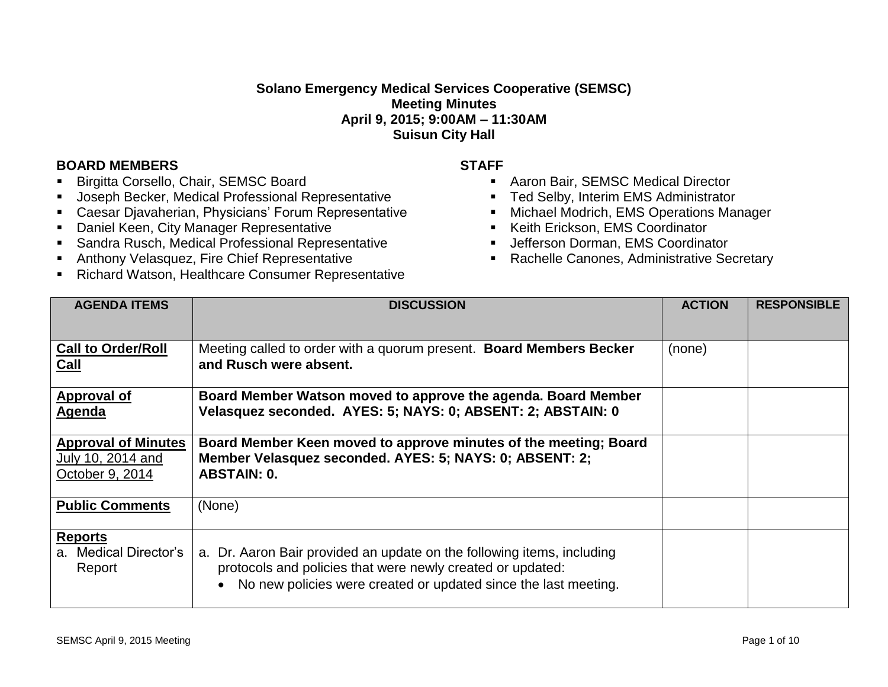## **Solano Emergency Medical Services Cooperative (SEMSC) Meeting Minutes April 9, 2015; 9:00AM – 11:30AM Suisun City Hall**

## **BOARD MEMBERS STAFF**

- Birgitta Corsello, Chair, SEMSC Board
- Joseph Becker, Medical Professional Representative
- Caesar Djavaherian, Physicians' Forum Representative
- **-** Daniel Keen, City Manager Representative
- Sandra Rusch, Medical Professional Representative
- Anthony Velasquez, Fire Chief Representative
- **Richard Watson, Healthcare Consumer Representative**

- Aaron Bair, SEMSC Medical Director
- Ted Selby, Interim EMS Administrator
- **Michael Modrich, EMS Operations Manager**
- Keith Erickson, EMS Coordinator
- **Jefferson Dorman, EMS Coordinator**
- **Rachelle Canones, Administrative Secretary**

| <b>AGENDA ITEMS</b>                                                | <b>DISCUSSION</b>                                                                                                                                                                                       | <b>ACTION</b> | <b>RESPONSIBLE</b> |
|--------------------------------------------------------------------|---------------------------------------------------------------------------------------------------------------------------------------------------------------------------------------------------------|---------------|--------------------|
| <b>Call to Order/Roll</b><br>Call                                  | Meeting called to order with a quorum present. Board Members Becker<br>and Rusch were absent.                                                                                                           | (none)        |                    |
| Approval of<br>Agenda                                              | Board Member Watson moved to approve the agenda. Board Member<br>Velasquez seconded. AYES: 5; NAYS: 0; ABSENT: 2; ABSTAIN: 0                                                                            |               |                    |
| <b>Approval of Minutes</b><br>July 10, 2014 and<br>October 9, 2014 | Board Member Keen moved to approve minutes of the meeting; Board<br>Member Velasquez seconded. AYES: 5; NAYS: 0; ABSENT: 2;<br><b>ABSTAIN: 0.</b>                                                       |               |                    |
| <b>Public Comments</b>                                             | (None)                                                                                                                                                                                                  |               |                    |
| <b>Reports</b><br>a. Medical Director's<br>Report                  | a. Dr. Aaron Bair provided an update on the following items, including<br>protocols and policies that were newly created or updated:<br>No new policies were created or updated since the last meeting. |               |                    |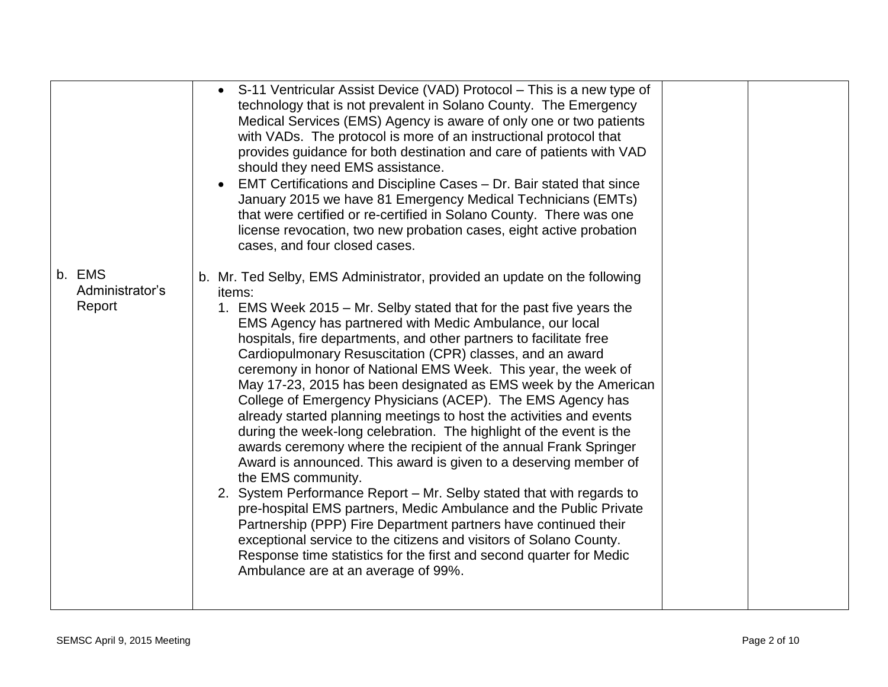|                                     | S-11 Ventricular Assist Device (VAD) Protocol - This is a new type of<br>technology that is not prevalent in Solano County. The Emergency<br>Medical Services (EMS) Agency is aware of only one or two patients<br>with VADs. The protocol is more of an instructional protocol that<br>provides guidance for both destination and care of patients with VAD<br>should they need EMS assistance.                                                                                                                                                                                                                                                                                                                                                                                                                                                                                                                                                                                                                                                                                                                                                                                                                                                                             |
|-------------------------------------|------------------------------------------------------------------------------------------------------------------------------------------------------------------------------------------------------------------------------------------------------------------------------------------------------------------------------------------------------------------------------------------------------------------------------------------------------------------------------------------------------------------------------------------------------------------------------------------------------------------------------------------------------------------------------------------------------------------------------------------------------------------------------------------------------------------------------------------------------------------------------------------------------------------------------------------------------------------------------------------------------------------------------------------------------------------------------------------------------------------------------------------------------------------------------------------------------------------------------------------------------------------------------|
|                                     | EMT Certifications and Discipline Cases - Dr. Bair stated that since<br>January 2015 we have 81 Emergency Medical Technicians (EMTs)<br>that were certified or re-certified in Solano County. There was one<br>license revocation, two new probation cases, eight active probation<br>cases, and four closed cases.                                                                                                                                                                                                                                                                                                                                                                                                                                                                                                                                                                                                                                                                                                                                                                                                                                                                                                                                                          |
| b. EMS<br>Administrator's<br>Report | b. Mr. Ted Selby, EMS Administrator, provided an update on the following<br>items:<br>1. EMS Week 2015 – Mr. Selby stated that for the past five years the<br>EMS Agency has partnered with Medic Ambulance, our local<br>hospitals, fire departments, and other partners to facilitate free<br>Cardiopulmonary Resuscitation (CPR) classes, and an award<br>ceremony in honor of National EMS Week. This year, the week of<br>May 17-23, 2015 has been designated as EMS week by the American<br>College of Emergency Physicians (ACEP). The EMS Agency has<br>already started planning meetings to host the activities and events<br>during the week-long celebration. The highlight of the event is the<br>awards ceremony where the recipient of the annual Frank Springer<br>Award is announced. This award is given to a deserving member of<br>the EMS community.<br>2. System Performance Report - Mr. Selby stated that with regards to<br>pre-hospital EMS partners, Medic Ambulance and the Public Private<br>Partnership (PPP) Fire Department partners have continued their<br>exceptional service to the citizens and visitors of Solano County.<br>Response time statistics for the first and second quarter for Medic<br>Ambulance are at an average of 99%. |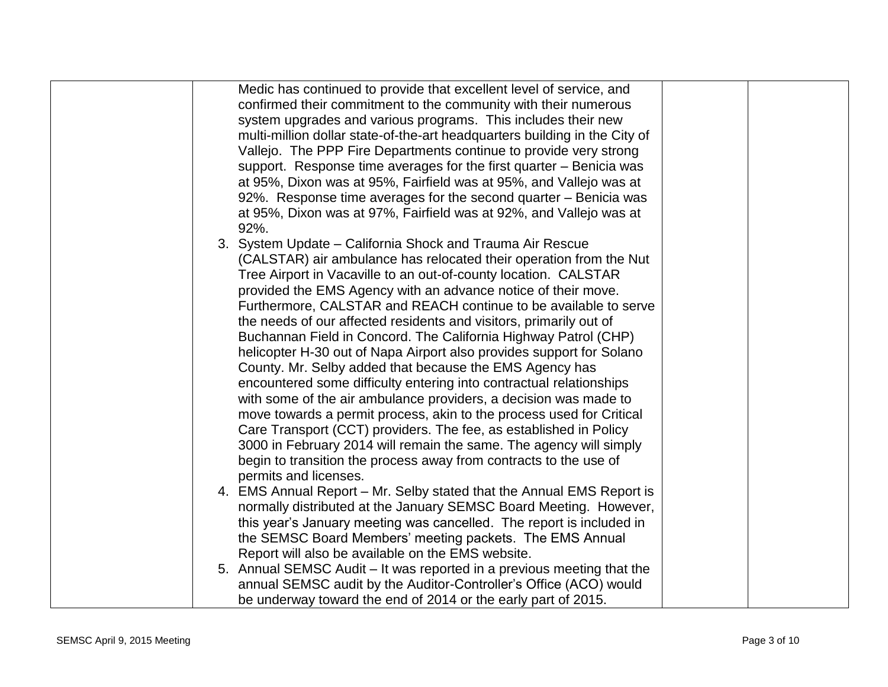| Medic has continued to provide that excellent level of service, and        |  |
|----------------------------------------------------------------------------|--|
| confirmed their commitment to the community with their numerous            |  |
| system upgrades and various programs. This includes their new              |  |
| multi-million dollar state-of-the-art headquarters building in the City of |  |
|                                                                            |  |
| Vallejo. The PPP Fire Departments continue to provide very strong          |  |
| support. Response time averages for the first quarter – Benicia was        |  |
| at 95%, Dixon was at 95%, Fairfield was at 95%, and Vallejo was at         |  |
| 92%. Response time averages for the second quarter – Benicia was           |  |
| at 95%, Dixon was at 97%, Fairfield was at 92%, and Vallejo was at         |  |
| 92%.                                                                       |  |
| 3. System Update - California Shock and Trauma Air Rescue                  |  |
| (CALSTAR) air ambulance has relocated their operation from the Nut         |  |
| Tree Airport in Vacaville to an out-of-county location. CALSTAR            |  |
| provided the EMS Agency with an advance notice of their move.              |  |
| Furthermore, CALSTAR and REACH continue to be available to serve           |  |
| the needs of our affected residents and visitors, primarily out of         |  |
| Buchannan Field in Concord. The California Highway Patrol (CHP)            |  |
| helicopter H-30 out of Napa Airport also provides support for Solano       |  |
| County. Mr. Selby added that because the EMS Agency has                    |  |
| encountered some difficulty entering into contractual relationships        |  |
| with some of the air ambulance providers, a decision was made to           |  |
| move towards a permit process, akin to the process used for Critical       |  |
| Care Transport (CCT) providers. The fee, as established in Policy          |  |
| 3000 in February 2014 will remain the same. The agency will simply         |  |
| begin to transition the process away from contracts to the use of          |  |
| permits and licenses.                                                      |  |
| 4. EMS Annual Report – Mr. Selby stated that the Annual EMS Report is      |  |
| normally distributed at the January SEMSC Board Meeting. However,          |  |
|                                                                            |  |
| this year's January meeting was cancelled. The report is included in       |  |
| the SEMSC Board Members' meeting packets. The EMS Annual                   |  |
| Report will also be available on the EMS website.                          |  |
| 5. Annual SEMSC Audit – It was reported in a previous meeting that the     |  |
| annual SEMSC audit by the Auditor-Controller's Office (ACO) would          |  |
| be underway toward the end of 2014 or the early part of 2015.              |  |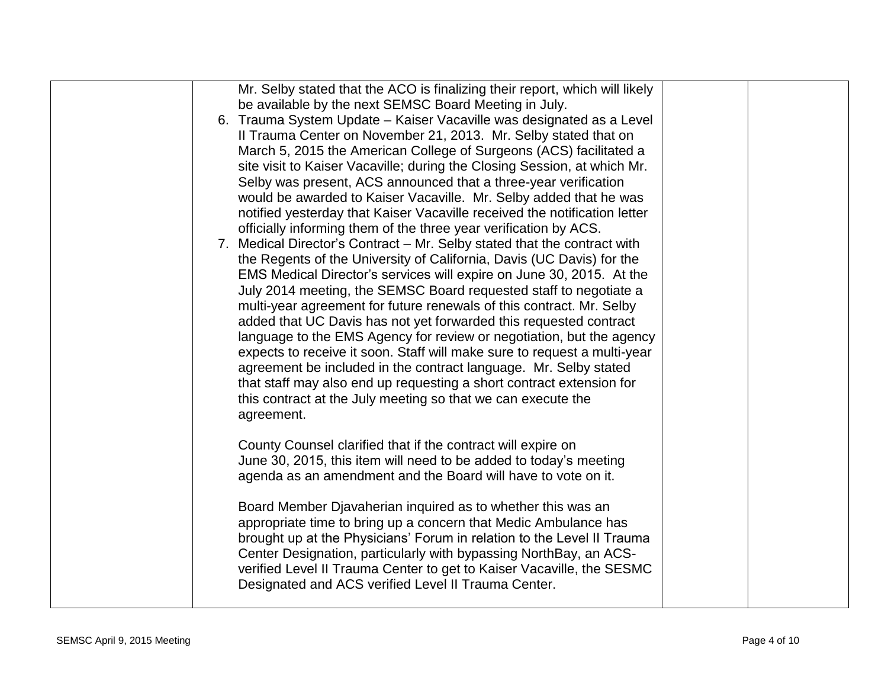| Mr. Selby stated that the ACO is finalizing their report, which will likely<br>be available by the next SEMSC Board Meeting in July.<br>6. Trauma System Update - Kaiser Vacaville was designated as a Level<br>Il Trauma Center on November 21, 2013. Mr. Selby stated that on<br>March 5, 2015 the American College of Surgeons (ACS) facilitated a<br>site visit to Kaiser Vacaville; during the Closing Session, at which Mr.<br>Selby was present, ACS announced that a three-year verification<br>would be awarded to Kaiser Vacaville. Mr. Selby added that he was<br>notified yesterday that Kaiser Vacaville received the notification letter<br>officially informing them of the three year verification by ACS.<br>7. Medical Director's Contract - Mr. Selby stated that the contract with<br>the Regents of the University of California, Davis (UC Davis) for the<br>EMS Medical Director's services will expire on June 30, 2015. At the<br>July 2014 meeting, the SEMSC Board requested staff to negotiate a<br>multi-year agreement for future renewals of this contract. Mr. Selby<br>added that UC Davis has not yet forwarded this requested contract<br>language to the EMS Agency for review or negotiation, but the agency<br>expects to receive it soon. Staff will make sure to request a multi-year<br>agreement be included in the contract language. Mr. Selby stated<br>that staff may also end up requesting a short contract extension for<br>this contract at the July meeting so that we can execute the |  |
|-------------------------------------------------------------------------------------------------------------------------------------------------------------------------------------------------------------------------------------------------------------------------------------------------------------------------------------------------------------------------------------------------------------------------------------------------------------------------------------------------------------------------------------------------------------------------------------------------------------------------------------------------------------------------------------------------------------------------------------------------------------------------------------------------------------------------------------------------------------------------------------------------------------------------------------------------------------------------------------------------------------------------------------------------------------------------------------------------------------------------------------------------------------------------------------------------------------------------------------------------------------------------------------------------------------------------------------------------------------------------------------------------------------------------------------------------------------------------------------------------------------------------------------------|--|
| agreement.<br>County Counsel clarified that if the contract will expire on<br>June 30, 2015, this item will need to be added to today's meeting<br>agenda as an amendment and the Board will have to vote on it.<br>Board Member Djavaherian inquired as to whether this was an<br>appropriate time to bring up a concern that Medic Ambulance has<br>brought up at the Physicians' Forum in relation to the Level II Trauma<br>Center Designation, particularly with bypassing NorthBay, an ACS-<br>verified Level II Trauma Center to get to Kaiser Vacaville, the SESMC<br>Designated and ACS verified Level II Trauma Center.                                                                                                                                                                                                                                                                                                                                                                                                                                                                                                                                                                                                                                                                                                                                                                                                                                                                                                         |  |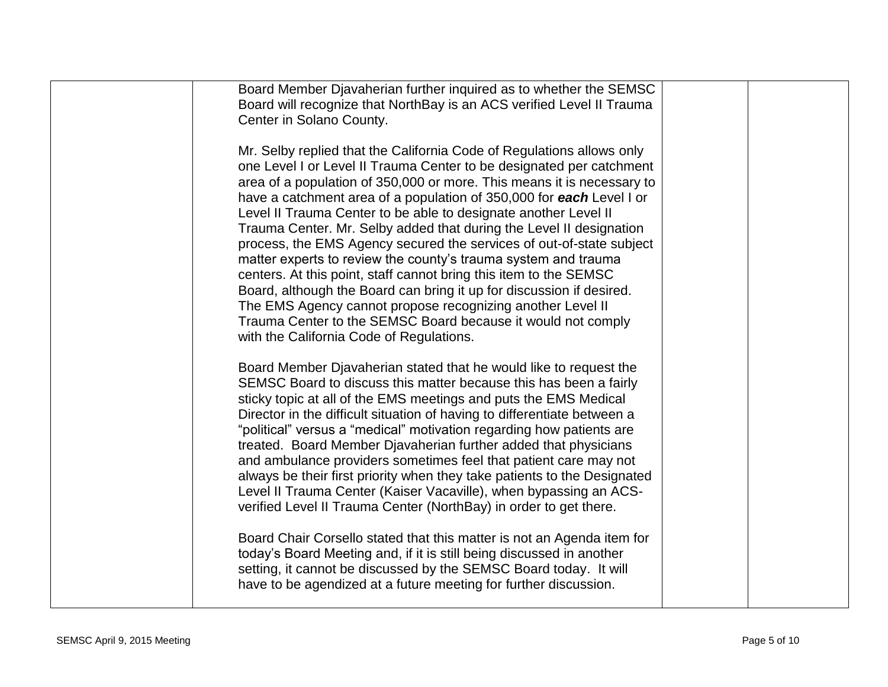| Board Member Djavaherian further inquired as to whether the SEMSC<br>Board will recognize that NorthBay is an ACS verified Level II Trauma<br>Center in Solano County.                                                                                                                                                                                                                                                                                                                                                                                                                                                                                                                                                                                                                                                                                                                                     |  |
|------------------------------------------------------------------------------------------------------------------------------------------------------------------------------------------------------------------------------------------------------------------------------------------------------------------------------------------------------------------------------------------------------------------------------------------------------------------------------------------------------------------------------------------------------------------------------------------------------------------------------------------------------------------------------------------------------------------------------------------------------------------------------------------------------------------------------------------------------------------------------------------------------------|--|
| Mr. Selby replied that the California Code of Regulations allows only<br>one Level I or Level II Trauma Center to be designated per catchment<br>area of a population of 350,000 or more. This means it is necessary to<br>have a catchment area of a population of 350,000 for each Level I or<br>Level II Trauma Center to be able to designate another Level II<br>Trauma Center. Mr. Selby added that during the Level II designation<br>process, the EMS Agency secured the services of out-of-state subject<br>matter experts to review the county's trauma system and trauma<br>centers. At this point, staff cannot bring this item to the SEMSC<br>Board, although the Board can bring it up for discussion if desired.<br>The EMS Agency cannot propose recognizing another Level II<br>Trauma Center to the SEMSC Board because it would not comply<br>with the California Code of Regulations. |  |
| Board Member Djavaherian stated that he would like to request the<br>SEMSC Board to discuss this matter because this has been a fairly<br>sticky topic at all of the EMS meetings and puts the EMS Medical<br>Director in the difficult situation of having to differentiate between a<br>"political" versus a "medical" motivation regarding how patients are<br>treated. Board Member Djavaherian further added that physicians<br>and ambulance providers sometimes feel that patient care may not<br>always be their first priority when they take patients to the Designated<br>Level II Trauma Center (Kaiser Vacaville), when bypassing an ACS-<br>verified Level II Trauma Center (NorthBay) in order to get there.<br>Board Chair Corsello stated that this matter is not an Agenda item for                                                                                                      |  |
| today's Board Meeting and, if it is still being discussed in another<br>setting, it cannot be discussed by the SEMSC Board today. It will<br>have to be agendized at a future meeting for further discussion.                                                                                                                                                                                                                                                                                                                                                                                                                                                                                                                                                                                                                                                                                              |  |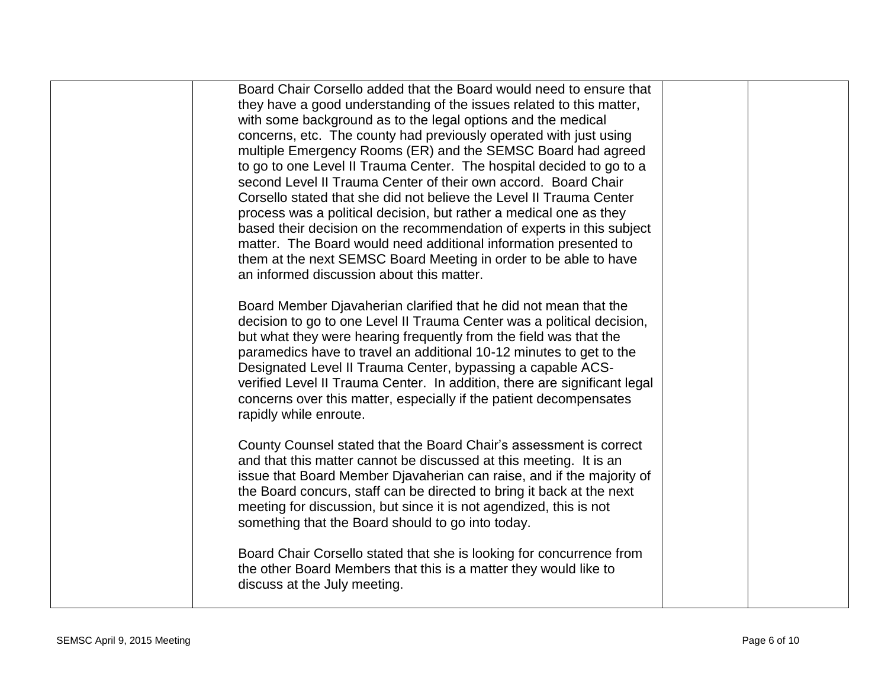| Board Chair Corsello added that the Board would need to ensure that<br>they have a good understanding of the issues related to this matter,<br>with some background as to the legal options and the medical<br>concerns, etc. The county had previously operated with just using<br>multiple Emergency Rooms (ER) and the SEMSC Board had agreed<br>to go to one Level II Trauma Center. The hospital decided to go to a<br>second Level II Trauma Center of their own accord. Board Chair<br>Corsello stated that she did not believe the Level II Trauma Center<br>process was a political decision, but rather a medical one as they<br>based their decision on the recommendation of experts in this subject<br>matter. The Board would need additional information presented to<br>them at the next SEMSC Board Meeting in order to be able to have<br>an informed discussion about this matter. |  |
|-------------------------------------------------------------------------------------------------------------------------------------------------------------------------------------------------------------------------------------------------------------------------------------------------------------------------------------------------------------------------------------------------------------------------------------------------------------------------------------------------------------------------------------------------------------------------------------------------------------------------------------------------------------------------------------------------------------------------------------------------------------------------------------------------------------------------------------------------------------------------------------------------------|--|
| Board Member Djavaherian clarified that he did not mean that the<br>decision to go to one Level II Trauma Center was a political decision,<br>but what they were hearing frequently from the field was that the<br>paramedics have to travel an additional 10-12 minutes to get to the<br>Designated Level II Trauma Center, bypassing a capable ACS-<br>verified Level II Trauma Center. In addition, there are significant legal<br>concerns over this matter, especially if the patient decompensates<br>rapidly while enroute.                                                                                                                                                                                                                                                                                                                                                                    |  |
| County Counsel stated that the Board Chair's assessment is correct<br>and that this matter cannot be discussed at this meeting. It is an<br>issue that Board Member Djavaherian can raise, and if the majority of<br>the Board concurs, staff can be directed to bring it back at the next<br>meeting for discussion, but since it is not agendized, this is not<br>something that the Board should to go into today.                                                                                                                                                                                                                                                                                                                                                                                                                                                                                 |  |
| Board Chair Corsello stated that she is looking for concurrence from<br>the other Board Members that this is a matter they would like to<br>discuss at the July meeting.                                                                                                                                                                                                                                                                                                                                                                                                                                                                                                                                                                                                                                                                                                                              |  |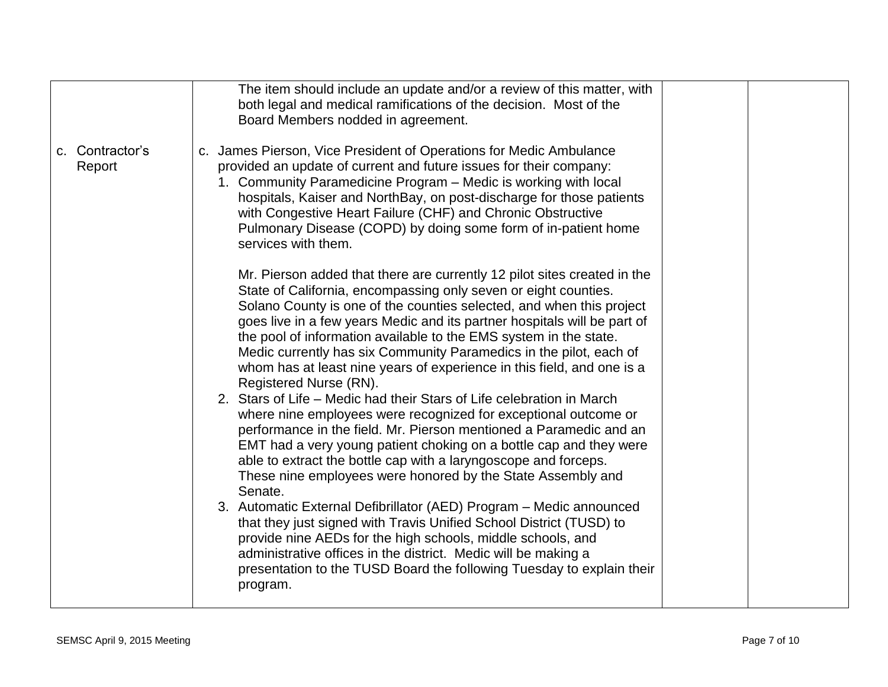|                           | The item should include an update and/or a review of this matter, with<br>both legal and medical ramifications of the decision. Most of the<br>Board Members nodded in agreement.                                                                                                                                                                                                                                                                                                                                                              |  |
|---------------------------|------------------------------------------------------------------------------------------------------------------------------------------------------------------------------------------------------------------------------------------------------------------------------------------------------------------------------------------------------------------------------------------------------------------------------------------------------------------------------------------------------------------------------------------------|--|
| c. Contractor's<br>Report | c. James Pierson, Vice President of Operations for Medic Ambulance<br>provided an update of current and future issues for their company:<br>1. Community Paramedicine Program – Medic is working with local<br>hospitals, Kaiser and NorthBay, on post-discharge for those patients<br>with Congestive Heart Failure (CHF) and Chronic Obstructive<br>Pulmonary Disease (COPD) by doing some form of in-patient home<br>services with them.                                                                                                    |  |
|                           | Mr. Pierson added that there are currently 12 pilot sites created in the<br>State of California, encompassing only seven or eight counties.<br>Solano County is one of the counties selected, and when this project<br>goes live in a few years Medic and its partner hospitals will be part of<br>the pool of information available to the EMS system in the state.<br>Medic currently has six Community Paramedics in the pilot, each of<br>whom has at least nine years of experience in this field, and one is a<br>Registered Nurse (RN). |  |
|                           | 2. Stars of Life – Medic had their Stars of Life celebration in March<br>where nine employees were recognized for exceptional outcome or<br>performance in the field. Mr. Pierson mentioned a Paramedic and an<br>EMT had a very young patient choking on a bottle cap and they were<br>able to extract the bottle cap with a laryngoscope and forceps.<br>These nine employees were honored by the State Assembly and<br>Senate.                                                                                                              |  |
|                           | 3. Automatic External Defibrillator (AED) Program - Medic announced<br>that they just signed with Travis Unified School District (TUSD) to<br>provide nine AEDs for the high schools, middle schools, and<br>administrative offices in the district. Medic will be making a<br>presentation to the TUSD Board the following Tuesday to explain their<br>program.                                                                                                                                                                               |  |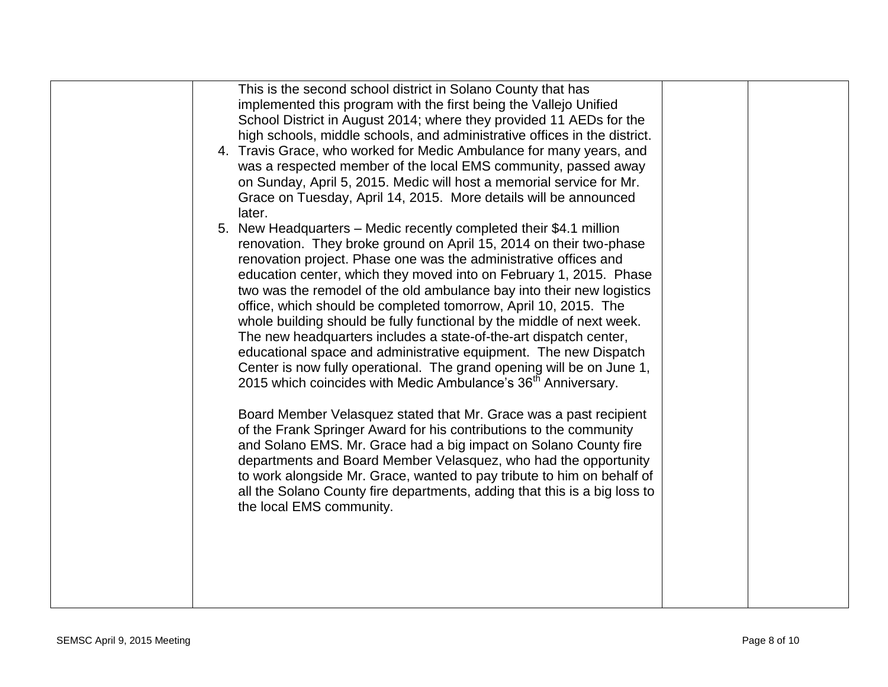| This is the second school district in Solano County that has<br>implemented this program with the first being the Vallejo Unified<br>School District in August 2014; where they provided 11 AEDs for the<br>high schools, middle schools, and administrative offices in the district.<br>4. Travis Grace, who worked for Medic Ambulance for many years, and<br>was a respected member of the local EMS community, passed away<br>on Sunday, April 5, 2015. Medic will host a memorial service for Mr.<br>Grace on Tuesday, April 14, 2015. More details will be announced<br>later.<br>New Headquarters – Medic recently completed their \$4.1 million<br>5.<br>renovation. They broke ground on April 15, 2014 on their two-phase<br>renovation project. Phase one was the administrative offices and<br>education center, which they moved into on February 1, 2015. Phase<br>two was the remodel of the old ambulance bay into their new logistics<br>office, which should be completed tomorrow, April 10, 2015. The<br>whole building should be fully functional by the middle of next week.<br>The new headquarters includes a state-of-the-art dispatch center,<br>educational space and administrative equipment. The new Dispatch<br>Center is now fully operational. The grand opening will be on June 1,<br>2015 which coincides with Medic Ambulance's 36 <sup>th</sup> Anniversary.<br>Board Member Velasquez stated that Mr. Grace was a past recipient<br>of the Frank Springer Award for his contributions to the community<br>and Solano EMS. Mr. Grace had a big impact on Solano County fire<br>departments and Board Member Velasquez, who had the opportunity<br>to work alongside Mr. Grace, wanted to pay tribute to him on behalf of<br>all the Solano County fire departments, adding that this is a big loss to |  |  |
|--------------------------------------------------------------------------------------------------------------------------------------------------------------------------------------------------------------------------------------------------------------------------------------------------------------------------------------------------------------------------------------------------------------------------------------------------------------------------------------------------------------------------------------------------------------------------------------------------------------------------------------------------------------------------------------------------------------------------------------------------------------------------------------------------------------------------------------------------------------------------------------------------------------------------------------------------------------------------------------------------------------------------------------------------------------------------------------------------------------------------------------------------------------------------------------------------------------------------------------------------------------------------------------------------------------------------------------------------------------------------------------------------------------------------------------------------------------------------------------------------------------------------------------------------------------------------------------------------------------------------------------------------------------------------------------------------------------------------------------------------------------------------------------------------------------------------------------------|--|--|
| the local EMS community.                                                                                                                                                                                                                                                                                                                                                                                                                                                                                                                                                                                                                                                                                                                                                                                                                                                                                                                                                                                                                                                                                                                                                                                                                                                                                                                                                                                                                                                                                                                                                                                                                                                                                                                                                                                                                   |  |  |
|                                                                                                                                                                                                                                                                                                                                                                                                                                                                                                                                                                                                                                                                                                                                                                                                                                                                                                                                                                                                                                                                                                                                                                                                                                                                                                                                                                                                                                                                                                                                                                                                                                                                                                                                                                                                                                            |  |  |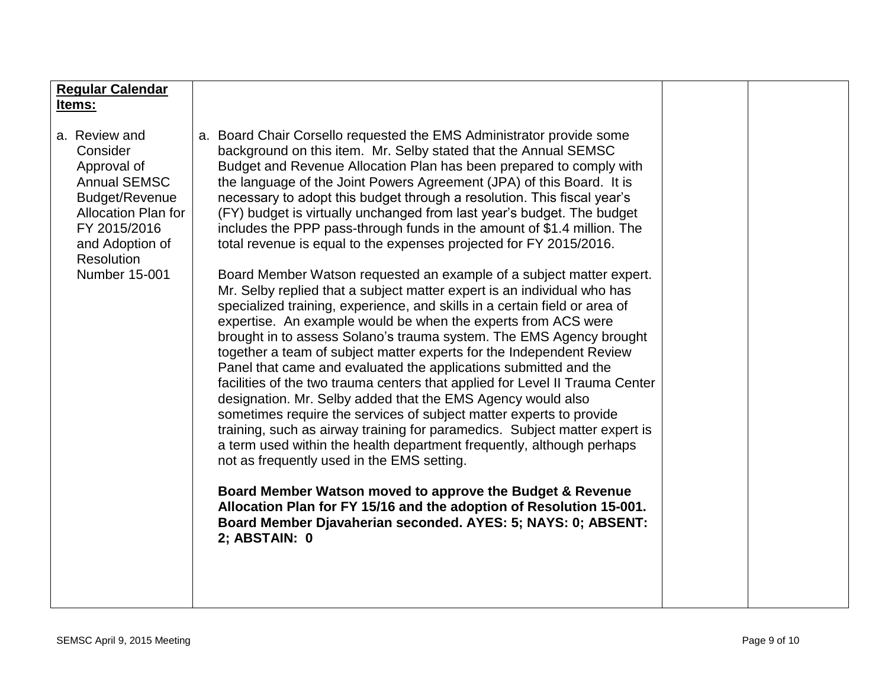| <b>Regular Calendar</b><br>Items:                                                                                                                                                               |                                                                                                                                                                                                                                                                                                                                                                                                                                                                                                                                                                                                                                                                                                                                                                                                                                                                                                                                                                                                                                                                                                                                                                                                                                                                                                                                                                                                                                                                                                                                                                                                                                                                                                                                                                    |  |
|-------------------------------------------------------------------------------------------------------------------------------------------------------------------------------------------------|--------------------------------------------------------------------------------------------------------------------------------------------------------------------------------------------------------------------------------------------------------------------------------------------------------------------------------------------------------------------------------------------------------------------------------------------------------------------------------------------------------------------------------------------------------------------------------------------------------------------------------------------------------------------------------------------------------------------------------------------------------------------------------------------------------------------------------------------------------------------------------------------------------------------------------------------------------------------------------------------------------------------------------------------------------------------------------------------------------------------------------------------------------------------------------------------------------------------------------------------------------------------------------------------------------------------------------------------------------------------------------------------------------------------------------------------------------------------------------------------------------------------------------------------------------------------------------------------------------------------------------------------------------------------------------------------------------------------------------------------------------------------|--|
| a. Review and<br>Consider<br>Approval of<br><b>Annual SEMSC</b><br>Budget/Revenue<br><b>Allocation Plan for</b><br>FY 2015/2016<br>and Adoption of<br><b>Resolution</b><br><b>Number 15-001</b> | a. Board Chair Corsello requested the EMS Administrator provide some<br>background on this item. Mr. Selby stated that the Annual SEMSC<br>Budget and Revenue Allocation Plan has been prepared to comply with<br>the language of the Joint Powers Agreement (JPA) of this Board. It is<br>necessary to adopt this budget through a resolution. This fiscal year's<br>(FY) budget is virtually unchanged from last year's budget. The budget<br>includes the PPP pass-through funds in the amount of \$1.4 million. The<br>total revenue is equal to the expenses projected for FY 2015/2016.<br>Board Member Watson requested an example of a subject matter expert.<br>Mr. Selby replied that a subject matter expert is an individual who has<br>specialized training, experience, and skills in a certain field or area of<br>expertise. An example would be when the experts from ACS were<br>brought in to assess Solano's trauma system. The EMS Agency brought<br>together a team of subject matter experts for the Independent Review<br>Panel that came and evaluated the applications submitted and the<br>facilities of the two trauma centers that applied for Level II Trauma Center<br>designation. Mr. Selby added that the EMS Agency would also<br>sometimes require the services of subject matter experts to provide<br>training, such as airway training for paramedics. Subject matter expert is<br>a term used within the health department frequently, although perhaps<br>not as frequently used in the EMS setting.<br>Board Member Watson moved to approve the Budget & Revenue<br>Allocation Plan for FY 15/16 and the adoption of Resolution 15-001.<br>Board Member Djavaherian seconded. AYES: 5; NAYS: 0; ABSENT:<br>2; ABSTAIN: 0 |  |